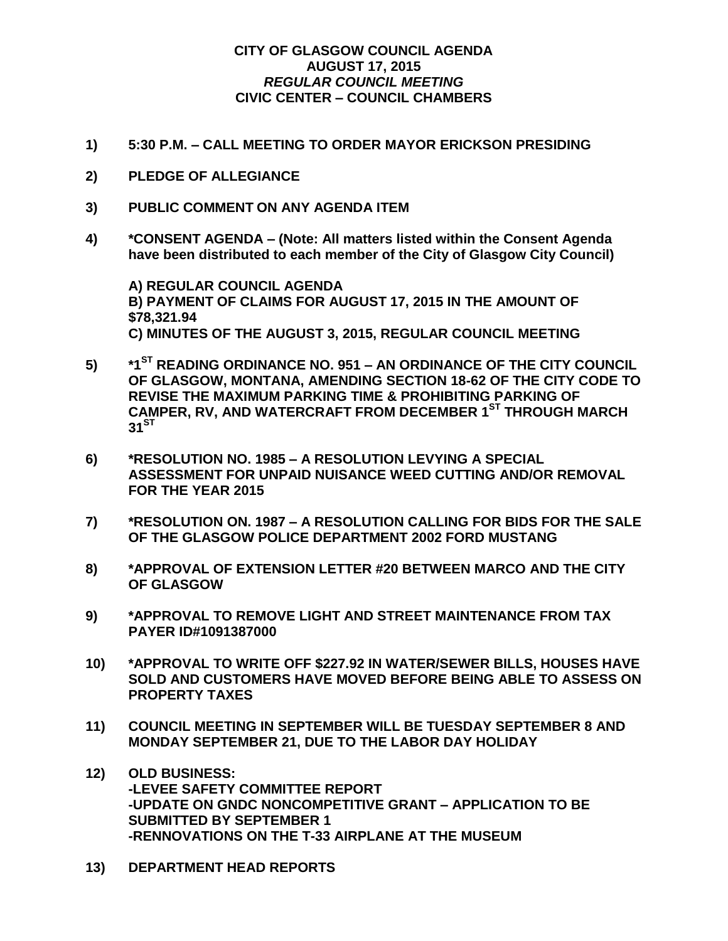## **CITY OF GLASGOW COUNCIL AGENDA AUGUST 17, 2015** *REGULAR COUNCIL MEETING* **CIVIC CENTER – COUNCIL CHAMBERS**

- **1) 5:30 P.M. – CALL MEETING TO ORDER MAYOR ERICKSON PRESIDING**
- **2) PLEDGE OF ALLEGIANCE**
- **3) PUBLIC COMMENT ON ANY AGENDA ITEM**
- **4) \*CONSENT AGENDA – (Note: All matters listed within the Consent Agenda have been distributed to each member of the City of Glasgow City Council)**

**A) REGULAR COUNCIL AGENDA B) PAYMENT OF CLAIMS FOR AUGUST 17, 2015 IN THE AMOUNT OF \$78,321.94 C) MINUTES OF THE AUGUST 3, 2015, REGULAR COUNCIL MEETING**

- **5) \*1ST READING ORDINANCE NO. 951 – AN ORDINANCE OF THE CITY COUNCIL OF GLASGOW, MONTANA, AMENDING SECTION 18-62 OF THE CITY CODE TO REVISE THE MAXIMUM PARKING TIME & PROHIBITING PARKING OF CAMPER, RV, AND WATERCRAFT FROM DECEMBER 1ST THROUGH MARCH**   $31^{ST}$
- **6) \*RESOLUTION NO. 1985 – A RESOLUTION LEVYING A SPECIAL ASSESSMENT FOR UNPAID NUISANCE WEED CUTTING AND/OR REMOVAL FOR THE YEAR 2015**
- **7) \*RESOLUTION ON. 1987 – A RESOLUTION CALLING FOR BIDS FOR THE SALE OF THE GLASGOW POLICE DEPARTMENT 2002 FORD MUSTANG**
- **8) \*APPROVAL OF EXTENSION LETTER #20 BETWEEN MARCO AND THE CITY OF GLASGOW**
- **9) \*APPROVAL TO REMOVE LIGHT AND STREET MAINTENANCE FROM TAX PAYER ID#1091387000**
- **10) \*APPROVAL TO WRITE OFF \$227.92 IN WATER/SEWER BILLS, HOUSES HAVE SOLD AND CUSTOMERS HAVE MOVED BEFORE BEING ABLE TO ASSESS ON PROPERTY TAXES**
- **11) COUNCIL MEETING IN SEPTEMBER WILL BE TUESDAY SEPTEMBER 8 AND MONDAY SEPTEMBER 21, DUE TO THE LABOR DAY HOLIDAY**
- **12) OLD BUSINESS: -LEVEE SAFETY COMMITTEE REPORT -UPDATE ON GNDC NONCOMPETITIVE GRANT – APPLICATION TO BE SUBMITTED BY SEPTEMBER 1 -RENNOVATIONS ON THE T-33 AIRPLANE AT THE MUSEUM**
- **13) DEPARTMENT HEAD REPORTS**